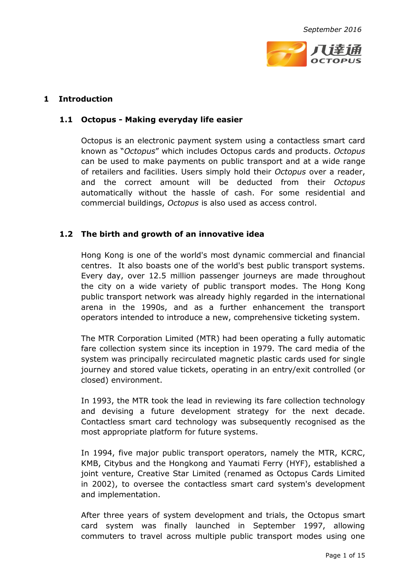

# **1 Introduction**

### **1.1 Octopus - Making everyday life easier**

Octopus is an electronic payment system using a contactless smart card known as "*Octopus*" which includes Octopus cards and products. *Octopus* can be used to make payments on public transport and at a wide range of retailers and facilities. Users simply hold their *Octopus* over a reader, and the correct amount will be deducted from their *Octopus* automatically without the hassle of cash. For some residential and commercial buildings, *Octopus* is also used as access control.

## **1.2 The birth and growth of an innovative idea**

Hong Kong is one of the world's most dynamic commercial and financial centres. It also boasts one of the world's best public transport systems. Every day, over 12.5 million passenger journeys are made throughout the city on a wide variety of public transport modes. The Hong Kong public transport network was already highly regarded in the international arena in the 1990s, and as a further enhancement the transport operators intended to introduce a new, comprehensive ticketing system.

The MTR Corporation Limited (MTR) had been operating a fully automatic fare collection system since its inception in 1979. The card media of the system was principally recirculated magnetic plastic cards used for single journey and stored value tickets, operating in an entry/exit controlled (or closed) environment.

In 1993, the MTR took the lead in reviewing its fare collection technology and devising a future development strategy for the next decade. Contactless smart card technology was subsequently recognised as the most appropriate platform for future systems.

In 1994, five major public transport operators, namely the MTR, KCRC, KMB, Citybus and the Hongkong and Yaumati Ferry (HYF), established a joint venture, Creative Star Limited (renamed as Octopus Cards Limited in 2002), to oversee the contactless smart card system's development and implementation.

After three years of system development and trials, the Octopus smart card system was finally launched in September 1997, allowing commuters to travel across multiple public transport modes using one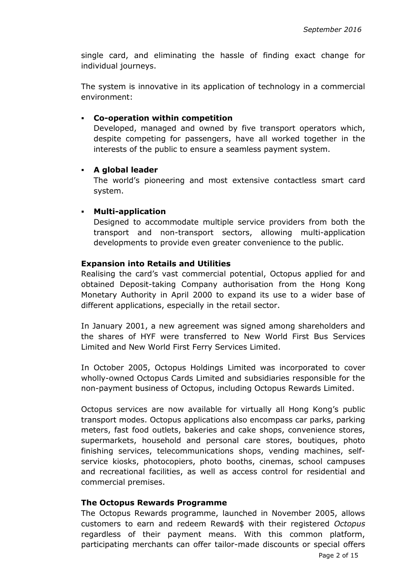single card, and eliminating the hassle of finding exact change for individual journeys.

The system is innovative in its application of technology in a commercial environment:

### **Co-operation within competition**

Developed, managed and owned by five transport operators which, despite competing for passengers, have all worked together in the interests of the public to ensure a seamless payment system.

### **A global leader**

The world's pioneering and most extensive contactless smart card system.

## **Multi-application**

Designed to accommodate multiple service providers from both the transport and non-transport sectors, allowing multi-application developments to provide even greater convenience to the public.

### **Expansion into Retails and Utilities**

Realising the card's vast commercial potential, Octopus applied for and obtained Deposit-taking Company authorisation from the Hong Kong Monetary Authority in April 2000 to expand its use to a wider base of different applications, especially in the retail sector.

In January 2001, a new agreement was signed among shareholders and the shares of HYF were transferred to New World First Bus Services Limited and New World First Ferry Services Limited.

In October 2005, Octopus Holdings Limited was incorporated to cover wholly-owned Octopus Cards Limited and subsidiaries responsible for the non-payment business of Octopus, including Octopus Rewards Limited.

Octopus services are now available for virtually all Hong Kong's public transport modes. Octopus applications also encompass car parks, parking meters, fast food outlets, bakeries and cake shops, convenience stores, supermarkets, household and personal care stores, boutiques, photo finishing services, telecommunications shops, vending machines, selfservice kiosks, photocopiers, photo booths, cinemas, school campuses and recreational facilities, as well as access control for residential and commercial premises.

#### **The Octopus Rewards Programme**

The Octopus Rewards programme, launched in November 2005, allows customers to earn and redeem Reward\$ with their registered *Octopus* regardless of their payment means. With this common platform, participating merchants can offer tailor-made discounts or special offers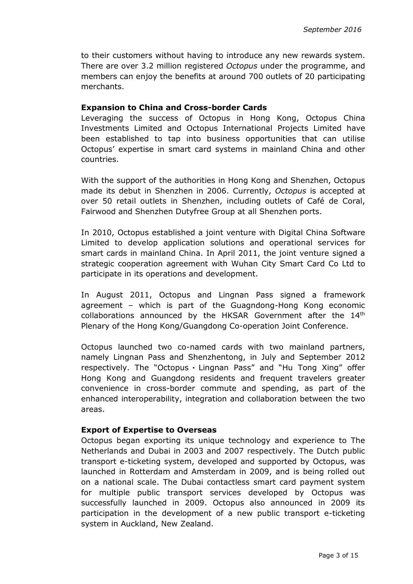to their customers without having to introduce any new rewards system. There are over 3.2 million registered *Octopus* under the programme, and members can enjoy the benefits at around 700 outlets of 20 participating merchants.

#### **Expansion to China and Cross-border Cards**

Leveraging the success of Octopus in Hong Kong, Octopus China Investments Limited and Octopus International Projects Limited have been established to tap into business opportunities that can utilise Octopus' expertise in smart card systems in mainland China and other countries.

With the support of the authorities in Hong Kong and Shenzhen, Octopus made its debut in Shenzhen in 2006. Currently, *Octopus* is accepted at over 50 retail outlets in Shenzhen, including outlets of Café de Coral, Fairwood and Shenzhen Dutyfree Group at all Shenzhen ports.

In 2010, Octopus established a joint venture with Digital China Software Limited to develop application solutions and operational services for smart cards in mainland China. In April 2011, the joint venture signed a strategic cooperation agreement with Wuhan City Smart Card Co Ltd to participate in its operations and development.

In August 2011, Octopus and Lingnan Pass signed a framework agreement – which is part of the Guagndong-Hong Kong economic collaborations announced by the HKSAR Government after the  $14<sup>th</sup>$ Plenary of the Hong Kong/Guangdong Co-operation Joint Conference.

Octopus launched two co-named cards with two mainland partners, namely Lingnan Pass and Shenzhentong, in July and September 2012 respectively. The "Octopus · Lingnan Pass" and "Hu Tong Xing" offer Hong Kong and Guangdong residents and frequent travelers greater convenience in cross-border commute and spending, as part of the enhanced interoperability, integration and collaboration between the two areas.

### **Export of Expertise to Overseas**

Octopus began exporting its unique technology and experience to The Netherlands and Dubai in 2003 and 2007 respectively. The Dutch public transport e-ticketing system, developed and supported by Octopus, was launched in Rotterdam and Amsterdam in 2009, and is being rolled out on a national scale. The Dubai contactless smart card payment system for multiple public transport services developed by Octopus was successfully launched in 2009. Octopus also announced in 2009 its participation in the development of a new public transport e-ticketing system in Auckland, New Zealand.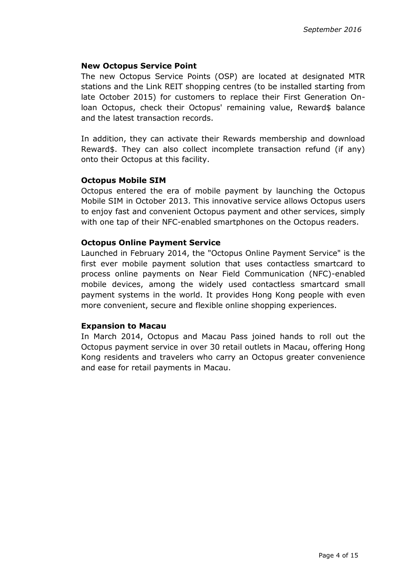### **New Octopus Service Point**

The new Octopus Service Points (OSP) are located at designated MTR stations and the Link REIT shopping centres (to be installed starting from late October 2015) for customers to replace their First Generation Onloan Octopus, check their Octopus' remaining value, Reward\$ balance and the latest transaction records.

In addition, they can activate their Rewards membership and download Reward\$. They can also collect incomplete transaction refund (if any) onto their Octopus at this facility.

## **Octopus Mobile SIM**

Octopus entered the era of mobile payment by launching the Octopus Mobile SIM in October 2013. This innovative service allows Octopus users to enjoy fast and convenient Octopus payment and other services, simply with one tap of their NFC-enabled smartphones on the Octopus readers.

### **Octopus Online Payment Service**

Launched in February 2014, the "Octopus Online Payment Service" is the first ever mobile payment solution that uses contactless smartcard to process online payments on Near Field Communication (NFC)-enabled mobile devices, among the widely used contactless smartcard small payment systems in the world. It provides Hong Kong people with even more convenient, secure and flexible online shopping experiences.

#### **Expansion to Macau**

In March 2014, Octopus and Macau Pass joined hands to roll out the Octopus payment service in over 30 retail outlets in Macau, offering Hong Kong residents and travelers who carry an Octopus greater convenience and ease for retail payments in Macau.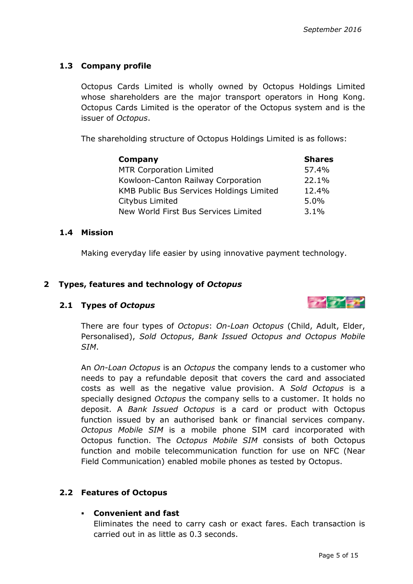## **1.3 Company profile**

Octopus Cards Limited is wholly owned by Octopus Holdings Limited whose shareholders are the major transport operators in Hong Kong. Octopus Cards Limited is the operator of the Octopus system and is the issuer of *Octopus*.

The shareholding structure of Octopus Holdings Limited is as follows:

| Company                                         | <b>Shares</b> |
|-------------------------------------------------|---------------|
| <b>MTR Corporation Limited</b>                  | 57.4%         |
| Kowloon-Canton Railway Corporation              | 22.1%         |
| <b>KMB Public Bus Services Holdings Limited</b> | 12.4%         |
| Citybus Limited                                 | 5.0%          |
| New World First Bus Services Limited            | 3.1%          |

#### **1.4 Mission**

Making everyday life easier by using innovative payment technology.

### **2 Types, features and technology of** *Octopus*

## **2.1 Types of** *Octopus*



There are four types of *Octopus*: *On-Loan Octopus* (Child, Adult, Elder, Personalised), *Sold Octopus*, *Bank Issued Octopus and Octopus Mobile SIM*.

An *On-Loan Octopus* is an *Octopus* the company lends to a customer who needs to pay a refundable deposit that covers the card and associated costs as well as the negative value provision. A *Sold Octopus* is a specially designed *Octopus* the company sells to a customer. It holds no deposit. A *Bank Issued Octopus* is a card or product with Octopus function issued by an authorised bank or financial services company. *Octopus Mobile SIM* is a mobile phone SIM card incorporated with Octopus function. The *Octopus Mobile SIM* consists of both Octopus function and mobile telecommunication function for use on NFC (Near Field Communication) enabled mobile phones as tested by Octopus.

## **2.2 Features of Octopus**

## **Convenient and fast**

Eliminates the need to carry cash or exact fares. Each transaction is carried out in as little as 0.3 seconds.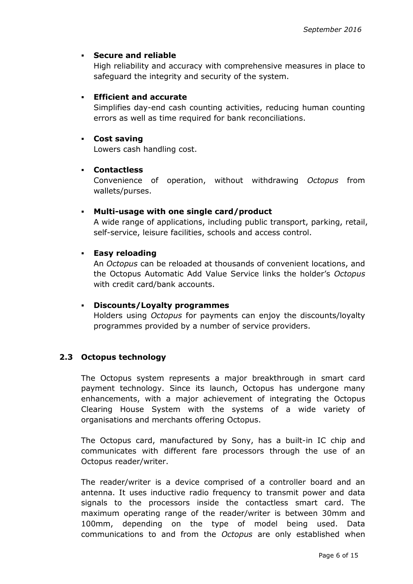### **Secure and reliable**

High reliability and accuracy with comprehensive measures in place to safeguard the integrity and security of the system.

### **Efficient and accurate**

Simplifies day-end cash counting activities, reducing human counting errors as well as time required for bank reconciliations.

#### **Cost saving**

Lowers cash handling cost.

### **Contactless**

Convenience of operation, without withdrawing *Octopus* from wallets/purses.

### **Multi-usage with one single card/product**

A wide range of applications, including public transport, parking, retail, self-service, leisure facilities, schools and access control.

### **Easy reloading**

An *Octopus* can be reloaded at thousands of convenient locations, and the Octopus Automatic Add Value Service links the holder's *Octopus* with credit card/bank accounts.

#### **Discounts/Loyalty programmes**

Holders using *Octopus* for payments can enjoy the discounts/loyalty programmes provided by a number of service providers.

#### **2.3 Octopus technology**

The Octopus system represents a major breakthrough in smart card payment technology. Since its launch, Octopus has undergone many enhancements, with a major achievement of integrating the Octopus Clearing House System with the systems of a wide variety of organisations and merchants offering Octopus.

The Octopus card, manufactured by Sony, has a built-in IC chip and communicates with different fare processors through the use of an Octopus reader/writer.

The reader/writer is a device comprised of a controller board and an antenna. It uses inductive radio frequency to transmit power and data signals to the processors inside the contactless smart card. The maximum operating range of the reader/writer is between 30mm and 100mm, depending on the type of model being used. Data communications to and from the *Octopus* are only established when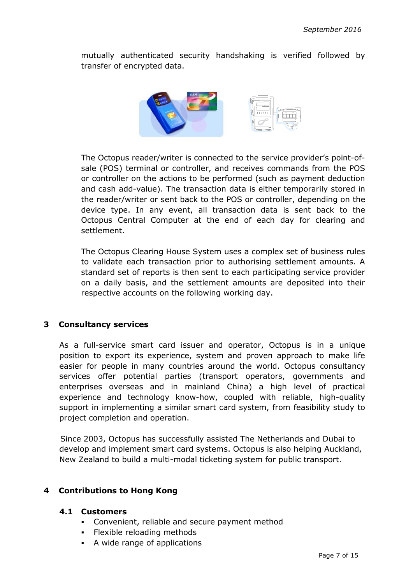mutually authenticated security handshaking is verified followed by transfer of encrypted data.



The Octopus reader/writer is connected to the service provider's point-ofsale (POS) terminal or controller, and receives commands from the POS or controller on the actions to be performed (such as payment deduction and cash add-value). The transaction data is either temporarily stored in the reader/writer or sent back to the POS or controller, depending on the device type. In any event, all transaction data is sent back to the Octopus Central Computer at the end of each day for clearing and settlement.

The Octopus Clearing House System uses a complex set of business rules to validate each transaction prior to authorising settlement amounts. A standard set of reports is then sent to each participating service provider on a daily basis, and the settlement amounts are deposited into their respective accounts on the following working day.

## **3 Consultancy services**

As a full-service smart card issuer and operator, Octopus is in a unique position to export its experience, system and proven approach to make life easier for people in many countries around the world. Octopus consultancy services offer potential parties (transport operators, governments and enterprises overseas and in mainland China) a high level of practical experience and technology know-how, coupled with reliable, high-quality support in implementing a similar smart card system, from feasibility study to project completion and operation.

Since 2003, Octopus has successfully assisted The Netherlands and Dubai to develop and implement smart card systems. Octopus is also helping Auckland, New Zealand to build a multi-modal ticketing system for public transport.

## **4 Contributions to Hong Kong**

## **4.1 Customers**

- Convenient, reliable and secure payment method
- Flexible reloading methods
- A wide range of applications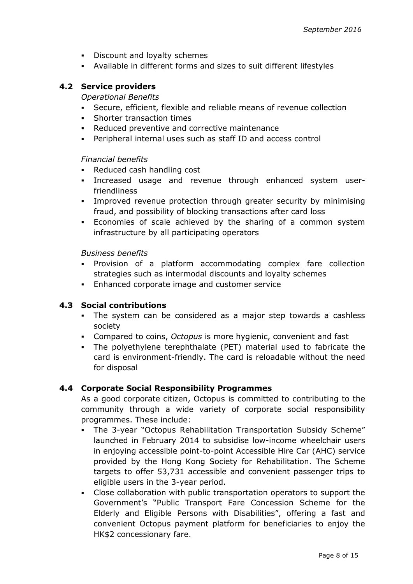- **Discount and loyalty schemes**
- Available in different forms and sizes to suit different lifestyles

### **4.2 Service providers**

*Operational Benefits* 

- Secure, efficient, flexible and reliable means of revenue collection
- **Shorter transaction times**
- Reduced preventive and corrective maintenance
- Peripheral internal uses such as staff ID and access control

#### *Financial benefits*

- Reduced cash handling cost
- Increased usage and revenue through enhanced system userfriendliness
- Improved revenue protection through greater security by minimising fraud, and possibility of blocking transactions after card loss
- Economies of scale achieved by the sharing of a common system infrastructure by all participating operators

*Business benefits* 

- Provision of a platform accommodating complex fare collection strategies such as intermodal discounts and loyalty schemes
- Enhanced corporate image and customer service

#### **4.3 Social contributions**

- The system can be considered as a major step towards a cashless society
- Compared to coins, *Octopus* is more hygienic, convenient and fast
- The polyethylene terephthalate (PET) material used to fabricate the card is environment-friendly. The card is reloadable without the need for disposal

#### **4.4 Corporate Social Responsibility Programmes**

As a good corporate citizen, Octopus is committed to contributing to the community through a wide variety of corporate social responsibility programmes. These include:

- The 3-year "Octopus Rehabilitation Transportation Subsidy Scheme" launched in February 2014 to subsidise low-income wheelchair users in enjoying accessible point-to-point Accessible Hire Car (AHC) service provided by the Hong Kong Society for Rehabilitation. The Scheme targets to offer 53,731 accessible and convenient passenger trips to eligible users in the 3-year period.
- Close collaboration with public transportation operators to support the Government's "Public Transport Fare Concession Scheme for the Elderly and Eligible Persons with Disabilities", offering a fast and convenient Octopus payment platform for beneficiaries to enjoy the HK\$2 concessionary fare.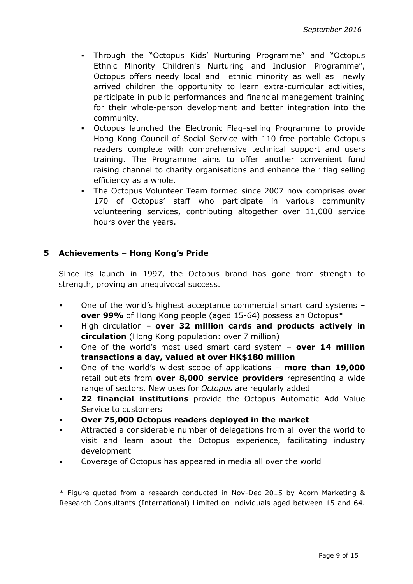- Through the "Octopus Kids' Nurturing Programme" and "Octopus Ethnic Minority Children's Nurturing and Inclusion Programme", Octopus offers needy local and ethnic minority as well as newly arrived children the opportunity to learn extra-curricular activities, participate in public performances and financial management training for their whole-person development and better integration into the community.
- Octopus launched the Electronic Flag-selling Programme to provide Hong Kong Council of Social Service with 110 free portable Octopus readers complete with comprehensive technical support and users training. The Programme aims to offer another convenient fund raising channel to charity organisations and enhance their flag selling efficiency as a whole.
- The Octopus Volunteer Team formed since 2007 now comprises over 170 of Octopus' staff who participate in various community volunteering services, contributing altogether over 11,000 service hours over the years.

# **5 Achievements – Hong Kong's Pride**

Since its launch in 1997, the Octopus brand has gone from strength to strength, proving an unequivocal success.

- One of the world's highest acceptance commercial smart card systems **over 99%** of Hong Kong people (aged 15-64) possess an Octopus\*
- High circulation **over 32 million cards and products actively in circulation** (Hong Kong population: over 7 million)
- One of the world's most used smart card system – **over 14 million transactions a day, valued at over HK\$180 million**
- One of the world's widest scope of applications **more than 19,000**  retail outlets from **over 8,000 service providers** representing a wide range of sectors. New uses for *Octopus* are regularly added
- **22 financial institutions** provide the Octopus Automatic Add Value Service to customers
- **Over 75,000 Octopus readers deployed in the market**
- Attracted a considerable number of delegations from all over the world to visit and learn about the Octopus experience, facilitating industry development
- Coverage of Octopus has appeared in media all over the world

\* Figure quoted from a research conducted in Nov-Dec 2015 by Acorn Marketing & Research Consultants (International) Limited on individuals aged between 15 and 64.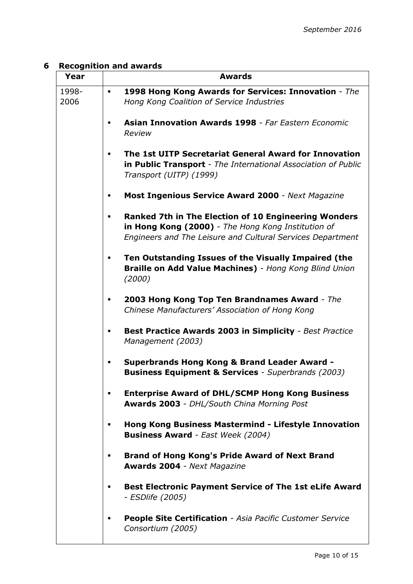# **6 Recognition and awards**

| Year          | <b>Awards</b>                                                                                                                                                                   |
|---------------|---------------------------------------------------------------------------------------------------------------------------------------------------------------------------------|
| 1998-<br>2006 | 1998 Hong Kong Awards for Services: Innovation - The<br>Hong Kong Coalition of Service Industries                                                                               |
|               | <b>Asian Innovation Awards 1998 - Far Eastern Economic</b><br>Review                                                                                                            |
|               | The 1st UITP Secretariat General Award for Innovation<br>in Public Transport - The International Association of Public<br>Transport (UITP) (1999)                               |
|               | <b>Most Ingenious Service Award 2000</b> - Next Magazine                                                                                                                        |
|               | <b>Ranked 7th in The Election of 10 Engineering Wonders</b><br>in Hong Kong (2000) - The Hong Kong Institution of<br>Engineers and The Leisure and Cultural Services Department |
|               | Ten Outstanding Issues of the Visually Impaired (the<br>Braille on Add Value Machines) - Hong Kong Blind Union<br>(2000)                                                        |
|               | 2003 Hong Kong Top Ten Brandnames Award - The<br>Chinese Manufacturers' Association of Hong Kong                                                                                |
|               | <b>Best Practice Awards 2003 in Simplicity - Best Practice</b><br>Management (2003)                                                                                             |
|               | <b>Superbrands Hong Kong &amp; Brand Leader Award -</b><br><b>Business Equipment &amp; Services</b> - Superbrands (2003)                                                        |
|               | <b>Enterprise Award of DHL/SCMP Hong Kong Business</b><br><b>Awards 2003 - DHL/South China Morning Post</b>                                                                     |
|               | Hong Kong Business Mastermind - Lifestyle Innovation<br><b>Business Award</b> - East Week (2004)                                                                                |
|               | <b>Brand of Hong Kong's Pride Award of Next Brand</b><br><b>Awards 2004 - Next Magazine</b>                                                                                     |
|               | <b>Best Electronic Payment Service of The 1st eLife Award</b><br>- ESDlife (2005)                                                                                               |
|               | People Site Certification - Asia Pacific Customer Service<br>Consortium (2005)                                                                                                  |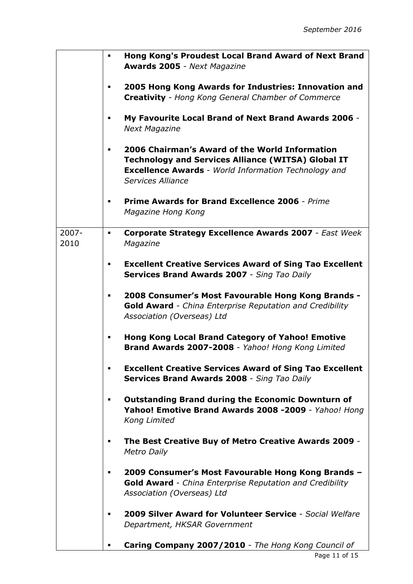|                  | Hong Kong's Proudest Local Brand Award of Next Brand<br><b>Awards 2005 - Next Magazine</b>                                                                                                      |
|------------------|-------------------------------------------------------------------------------------------------------------------------------------------------------------------------------------------------|
|                  | 2005 Hong Kong Awards for Industries: Innovation and<br><b>Creativity</b> - Hong Kong General Chamber of Commerce                                                                               |
|                  | My Favourite Local Brand of Next Brand Awards 2006 -<br><b>Next Magazine</b>                                                                                                                    |
|                  | 2006 Chairman's Award of the World Information<br><b>Technology and Services Alliance (WITSA) Global IT</b><br><b>Excellence Awards</b> - World Information Technology and<br>Services Alliance |
|                  | Prime Awards for Brand Excellence 2006 - Prime<br>Magazine Hong Kong                                                                                                                            |
| $2007 -$<br>2010 | Corporate Strategy Excellence Awards 2007 - East Week<br>٠<br>Magazine                                                                                                                          |
|                  | <b>Excellent Creative Services Award of Sing Tao Excellent</b><br><b>Services Brand Awards 2007</b> - Sing Tao Daily                                                                            |
|                  | 2008 Consumer's Most Favourable Hong Kong Brands -<br><b>Gold Award</b> - China Enterprise Reputation and Credibility<br>Association (Overseas) Ltd                                             |
|                  | Hong Kong Local Brand Category of Yahoo! Emotive<br>Brand Awards 2007-2008 - Yahoo! Hong Kong Limited                                                                                           |
|                  | <b>Excellent Creative Services Award of Sing Tao Excellent</b><br><b>Services Brand Awards 2008</b> - Sing Tao Daily                                                                            |
|                  | <b>Outstanding Brand during the Economic Downturn of</b><br>Yahoo! Emotive Brand Awards 2008 -2009 - Yahoo! Hong<br>Kong Limited                                                                |
|                  | The Best Creative Buy of Metro Creative Awards 2009 -<br><b>Metro Daily</b>                                                                                                                     |
|                  | 2009 Consumer's Most Favourable Hong Kong Brands -<br><b>Gold Award</b> - China Enterprise Reputation and Credibility<br>Association (Overseas) Ltd                                             |
|                  | 2009 Silver Award for Volunteer Service - Social Welfare<br>Department, HKSAR Government                                                                                                        |
|                  | Caring Company 2007/2010 - The Hong Kong Council of                                                                                                                                             |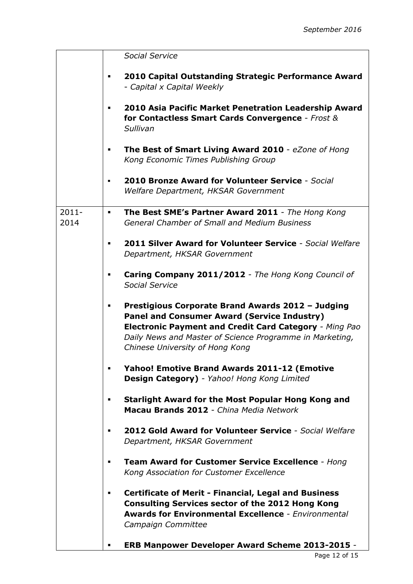|                  | <b>Social Service</b>                                                                                                                                                                                                                                                   |
|------------------|-------------------------------------------------------------------------------------------------------------------------------------------------------------------------------------------------------------------------------------------------------------------------|
|                  | 2010 Capital Outstanding Strategic Performance Award<br>- Capital x Capital Weekly                                                                                                                                                                                      |
|                  | 2010 Asia Pacific Market Penetration Leadership Award<br>for Contactless Smart Cards Convergence - Frost &<br>Sullivan                                                                                                                                                  |
|                  | The Best of Smart Living Award 2010 - eZone of Hong<br>Kong Economic Times Publishing Group                                                                                                                                                                             |
|                  | 2010 Bronze Award for Volunteer Service - Social<br>Welfare Department, HKSAR Government                                                                                                                                                                                |
| $2011 -$<br>2014 | The Best SME's Partner Award 2011 - The Hong Kong<br>٠<br><b>General Chamber of Small and Medium Business</b>                                                                                                                                                           |
|                  | <b>2011 Silver Award for Volunteer Service - Social Welfare</b><br>Department, HKSAR Government                                                                                                                                                                         |
|                  | Caring Company 2011/2012 - The Hong Kong Council of<br>Social Service                                                                                                                                                                                                   |
|                  | Prestigious Corporate Brand Awards 2012 - Judging<br><b>Panel and Consumer Award (Service Industry)</b><br><b>Electronic Payment and Credit Card Category - Ming Pao</b><br>Daily News and Master of Science Programme in Marketing,<br>Chinese University of Hong Kong |
|                  | <b>Yahoo! Emotive Brand Awards 2011-12 (Emotive</b><br>Design Category) - Yahoo! Hong Kong Limited                                                                                                                                                                      |
|                  | Starlight Award for the Most Popular Hong Kong and<br>Macau Brands 2012 - China Media Network                                                                                                                                                                           |
|                  | 2012 Gold Award for Volunteer Service - Social Welfare<br>Department, HKSAR Government                                                                                                                                                                                  |
|                  | <b>Team Award for Customer Service Excellence - Hong</b><br>Kong Association for Customer Excellence                                                                                                                                                                    |
|                  | <b>Certificate of Merit - Financial, Legal and Business</b><br>п<br><b>Consulting Services sector of the 2012 Hong Kong</b><br><b>Awards for Environmental Excellence - Environmental</b><br>Campaign Committee                                                         |
|                  | <b>ERB Manpower Developer Award Scheme 2013-2015 -</b>                                                                                                                                                                                                                  |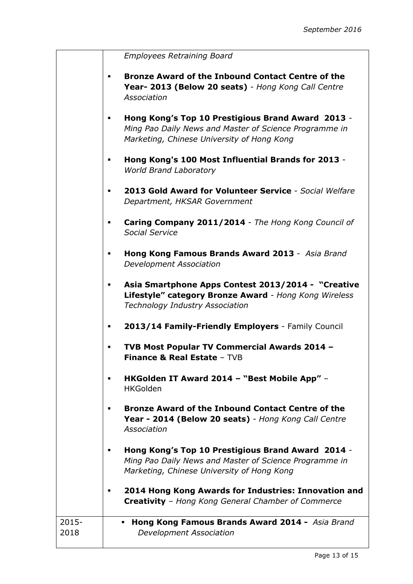|  | Employees Retraining Board |  |
|--|----------------------------|--|
|--|----------------------------|--|

- **Bronze Award of the Inbound Contact Centre of the Year- 2013 (Below 20 seats)** *- Hong Kong Call Centre Association*
- **Hong Kong's Top 10 Prestigious Brand Award 2013** *- Ming Pao Daily News and Master of Science Programme in Marketing, Chinese University of Hong Kong*
- **Hong Kong's 100 Most Influential Brands for 2013** *World Brand Laboratory*
- **2013 Gold Award for Volunteer Service** *- Social Welfare Department, HKSAR Government*
- **Caring Company 2011/2014** *- The Hong Kong Council of Social Service*
- **Hong Kong Famous Brands Award 2013**  *Asia Brand Development Association*
- **Asia Smartphone Apps Contest 2013/2014 "Creative Lifestyle" category Bronze Award** *- Hong Kong Wireless Technology Industry Association*
- **2013/14 Family-Friendly Employers** Family Council
- **TVB Most Popular TV Commercial Awards 2014 – Finance & Real Estate** – TVB
- **HKGolden IT Award 2014 – "Best Mobile App"**  HKGolden
- **Bronze Award of the Inbound Contact Centre of the Year - 2014 (Below 20 seats)** *- Hong Kong Call Centre Association*
- **Hong Kong's Top 10 Prestigious Brand Award 2014** *- Ming Pao Daily News and Master of Science Programme in Marketing, Chinese University of Hong Kong*
- **2014 Hong Kong Awards for Industries: Innovation and Creativity** – *Hong Kong General Chamber of Commerce*

| 2015- | • Hong Kong Famous Brands Award 2014 - Asia Brand |  |
|-------|---------------------------------------------------|--|
| 2018  | Development Association                           |  |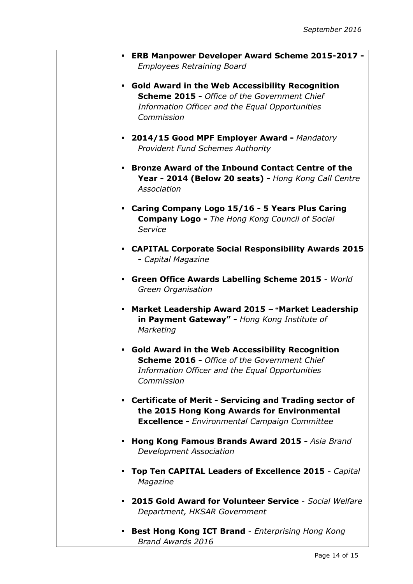|   | - ERB Manpower Developer Award Scheme 2015-2017 -<br><b>Employees Retraining Board</b>                                                                                         |
|---|--------------------------------------------------------------------------------------------------------------------------------------------------------------------------------|
|   | • Gold Award in the Web Accessibility Recognition<br><b>Scheme 2015 - Office of the Government Chief</b><br>Information Officer and the Equal Opportunities<br>Commission      |
|   | • 2014/15 Good MPF Employer Award - Mandatory<br><b>Provident Fund Schemes Authority</b>                                                                                       |
|   | • Bronze Award of the Inbound Contact Centre of the<br>Year - 2014 (Below 20 seats) - Hong Kong Call Centre<br>Association                                                     |
|   | Caring Company Logo 15/16 - 5 Years Plus Caring<br><b>Company Logo - The Hong Kong Council of Social</b><br>Service                                                            |
|   | • CAPITAL Corporate Social Responsibility Awards 2015<br>- Capital Magazine                                                                                                    |
|   | Green Office Awards Labelling Scheme 2015 - World<br>Green Organisation                                                                                                        |
| ٠ | Market Leadership Award 2015 - "Market Leadership<br>in Payment Gateway" - Hong Kong Institute of<br>Marketing                                                                 |
| ٠ | <b>Gold Award in the Web Accessibility Recognition</b><br><b>Scheme 2016 - Office of the Government Chief</b><br>Information Officer and the Equal Opportunities<br>Commission |
|   | • Certificate of Merit - Servicing and Trading sector of<br>the 2015 Hong Kong Awards for Environmental<br><b>Excellence -</b> Environmental Campaign Committee                |
| ٠ | Hong Kong Famous Brands Award 2015 - Asia Brand<br><b>Development Association</b>                                                                                              |
| ٠ | Top Ten CAPITAL Leaders of Excellence 2015 - Capital<br>Magazine                                                                                                               |
| ٠ | 2015 Gold Award for Volunteer Service - Social Welfare<br>Department, HKSAR Government                                                                                         |
| ٠ | <b>Best Hong Kong ICT Brand - Enterprising Hong Kong</b><br><b>Brand Awards 2016</b>                                                                                           |